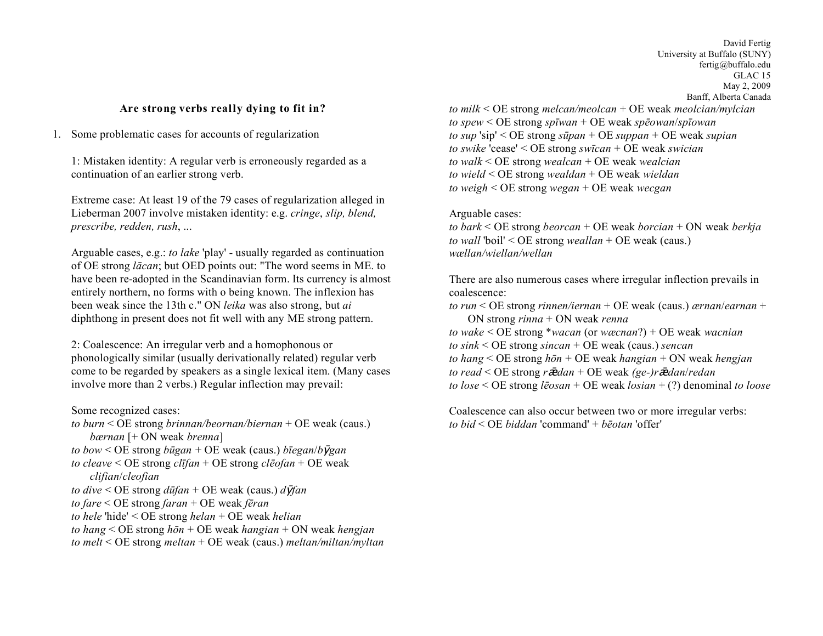## **Are strong verbs really dying to fit in?**

1. Some problematic cases for accounts of regularization

1: Mistaken identity: A regular verb is erroneously regarded as a continuation of an earlier strong verb.

Extreme case: At least 19 of the 79 cases of regularization alleged in Lieberman 2007 involve mistaken identity: e.g. *cringe*, *slip, blend, prescribe, redden, rush*, ...

Arguable cases, e.g.: *to lake* 'play' - usually regarded as continuation of OE strong *lācan*; but OED points out: "The word seems in ME. to have been re-adopted in the Scandinavian form. Its currency is almost entirely northern, no forms with o being known. The inflexion has been weak since the 13th c." ON *leika* was also strong, but *ai* diphthong in present does not fit well with any ME strong pattern.

2: Coalescence: An irregular verb and a homophonous or phonologically similar (usually derivationally related) regular verb come to be regarded by speakers as a single lexical item. (Many cases involve more than 2 verbs.) Regular inflection may prevail:

Some recognized cases:

- *to burn* < OE strong *brinnan/beornan/biernan* + OE weak (caus.) *bærnan* [+ ON weak *brenna*]
- *to bow* < OE strong *būgan* + OE weak (caus.) *bīegan*/*b*ȳ*gan*
- *to cleave* < OE strong *clīfan* + OE strong *clēofan* + OE weak *clifian*/*cleofian*
- $to$  *dive* < OE strong  $d\bar{u}$ *fan* + OE weak (caus.)  $d\bar{V}$ *fan*
- *to fare* < OE strong *faran* + OE weak *fēran*
- *to hele* 'hide' < OE strong *helan* + OE weak *helian*
- *to hang* < OE strong *hōn* + OE weak *hangian* + ON weak *hengjan*
- *to melt* < OE strong *meltan* + OE weak (caus.) *meltan/miltan/myltan*

David Fertig University at Buffalo (SUNY) fertig@buffalo.edu GLAC 15 May 2, 2009 Banff, Alberta Canada

*to milk* < OE strong *melcan/meolcan* + OE weak *meolcian/mylcian to spew* < OE strong *spīwan* + OE weak *spēowan*/*spīowan to sup* 'sip' < OE strong *sūpan* + OE *suppan* + OE weak *supian to swike* 'cease' < OE strong *swīcan* + OE weak *swician to walk* < OE strong *wealcan* + OE weak *wealcian to wield* < OE strong *wealdan* + OE weak *wieldan to weigh* < OE strong *wegan* + OE weak *wecgan*

## Arguable cases:

*to bark* < OE strong *beorcan* + OE weak *borcian* + ON weak *berkja to wall* 'boil' < OE strong *weallan* + OE weak (caus.) *wællan/wiellan/wellan*

There are also numerous cases where irregular inflection prevails in coalescence:

*to run* < OE strong *rinnen/iernan* + OE weak (caus.) *ærnan*/*earnan* + ON strong *rinna* + ON weak *renna*

- *to wake* < OE strong \**wacan* (or *wæcnan*?) + OE weak *wacnian*
- *to sink* < OE strong *sincan* + OE weak (caus.) *sencan*
- *to hang* < OE strong *hōn* + OE weak *hangian* + ON weak *hengjan*
- *to read* < OE strong *r*ǣ*dan* + OE weak *(ge-)r*ǣ*dan*/*redan*

*to lose* < OE strong *lēosan* + OE weak *losian* + (?) denominal *to loose*

Coalescence can also occur between two or more irregular verbs: *to bid* < OE *biddan* 'command' + *bēotan* 'offer'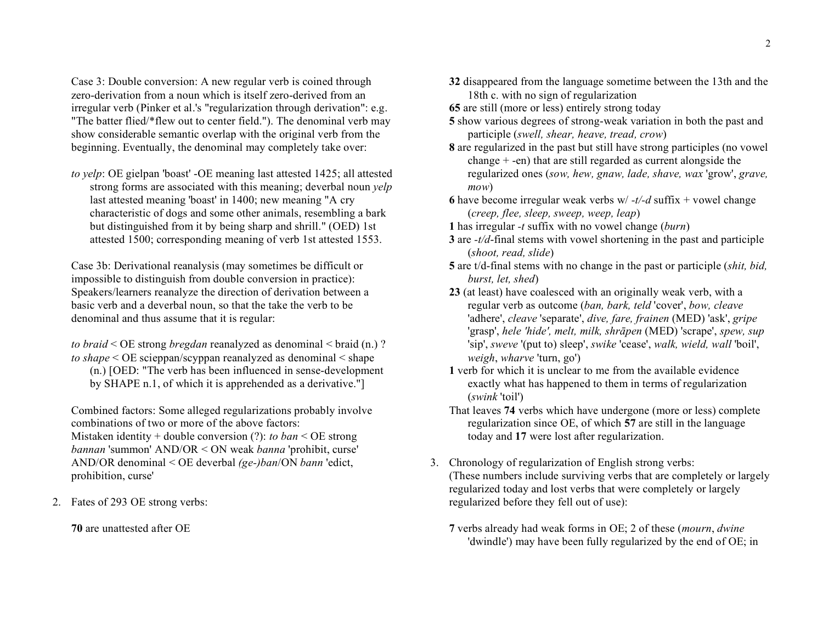Case 3: Double conversion: A new regular verb is coined through zero-derivation from a noun which is itself zero-derived from an irregular verb (Pinker et al.'s "regularization through derivation": e.g. "The batter flied/\*flew out to center field."). The denominal verb may show considerable semantic overlap with the original verb from the beginning. Eventually, the denominal may completely take over:

*to yelp*: OE gielpan 'boast' -OE meaning last attested 1425; all attested strong forms are associated with this meaning; deverbal noun *yelp* last attested meaning 'boast' in 1400; new meaning "A cry characteristic of dogs and some other animals, resembling a bark but distinguished from it by being sharp and shrill." (OED) 1st attested 1500; corresponding meaning of verb 1st attested 1553.

Case 3b: Derivational reanalysis (may sometimes be difficult or impossible to distinguish from double conversion in practice): Speakers/learners reanalyze the direction of derivation between a basic verb and a deverbal noun, so that the take the verb to be denominal and thus assume that it is regular:

*to braid* < OE strong *bregdan* reanalyzed as denominal < braid (n.) ? *to shape* < OE scieppan/scyppan reanalyzed as denominal < shape (n.) [OED: "The verb has been influenced in sense-development by SHAPE n.1, of which it is apprehended as a derivative."]

Combined factors: Some alleged regularizations probably involve combinations of two or more of the above factors: Mistaken identity + double conversion (?): *to ban* < OE strong *bannan* 'summon' AND/OR < ON weak *banna* 'prohibit, curse' AND/OR denominal < OE deverbal *(ge-)ban*/ON *bann* 'edict, prohibition, curse'

2. Fates of 293 OE strong verbs:

**70** are unattested after OE

- **32** disappeared from the language sometime between the 13th and the 18th c. with no sign of regularization
- **65** are still (more or less) entirely strong today
- **5** show various degrees of strong-weak variation in both the past and participle (*swell, shear, heave, tread, crow*)
- **8** are regularized in the past but still have strong participles (no vowel change + -en) that are still regarded as current alongside the regularized ones (*sow, hew, gnaw, lade, shave, wax* 'grow', *grave, mow*)
- **6** have become irregular weak verbs w/ $-t$ /-d suffix + vowel change (*creep, flee, sleep, sweep, weep, leap*)
- **1** has irregular *-t* suffix with no vowel change (*burn*)
- **3** are *-t/d*-final stems with vowel shortening in the past and participle (*shoot, read, slide*)
- **5** are t/d-final stems with no change in the past or participle (*shit, bid, burst, let, shed*)
- **23** (at least) have coalesced with an originally weak verb, with a regular verb as outcome (*ban, bark, teld* 'cover', *bow, cleave* 'adhere', *cleave* 'separate', *dive, fare, frainen* (MED) 'ask', *gripe* 'grasp', *hele 'hide', melt, milk, shrāpen* (MED) 'scrape', *spew, sup* 'sip', *sweve* '(put to) sleep', *swike* 'cease', *walk, wield, wall* 'boil', *weigh*, *wharve* 'turn, go')
- **1** verb for which it is unclear to me from the available evidence exactly what has happened to them in terms of regularization (*swink* 'toil')
- That leaves **74** verbs which have undergone (more or less) complete regularization since OE, of which **57** are still in the language today and **17** were lost after regularization.
- 3. Chronology of regularization of English strong verbs: (These numbers include surviving verbs that are completely or largely regularized today and lost verbs that were completely or largely regularized before they fell out of use):
	- **7** verbs already had weak forms in OE; 2 of these (*mourn*, *dwine* 'dwindle') may have been fully regularized by the end of OE; in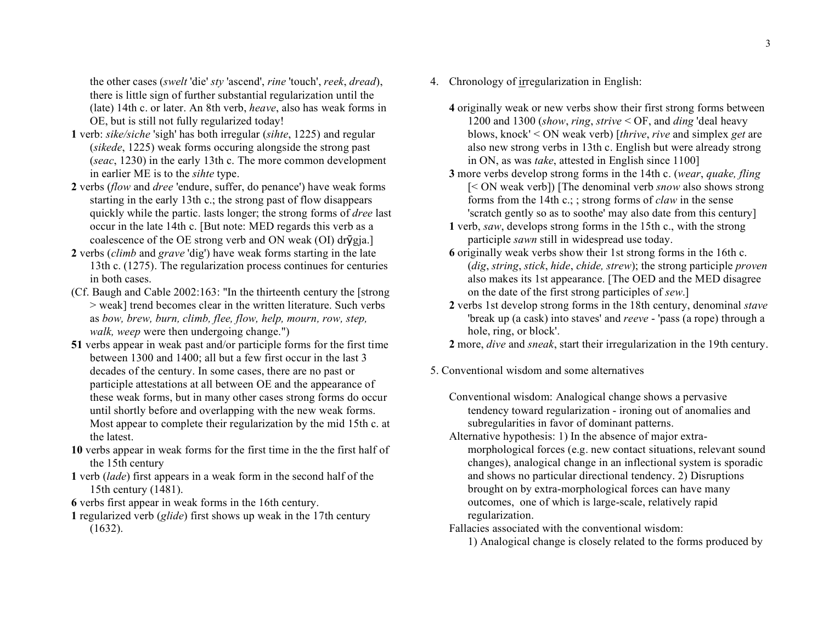the other cases (*swelt* 'die' *sty* 'ascend', *rine* 'touch', *reek*, *dread*), there is little sign of further substantial regularization until the (late) 14th c. or later. An 8th verb, *heave*, also has weak forms in OE, but is still not fully regularized today!

- **1** verb: *sike/siche* 'sigh' has both irregular (*sihte*, 1225) and regular (*sikede*, 1225) weak forms occuring alongside the strong past (*seac*, 1230) in the early 13th c. The more common development in earlier ME is to the *sihte* type.
- **2** verbs (*flow* and *dree* 'endure, suffer, do penance') have weak forms starting in the early 13th c.; the strong past of flow disappears quickly while the partic. lasts longer; the strong forms of *dree* last occur in the late 14th c. [But note: MED regards this verb as a coalescence of the OE strong verb and ON weak (OI) dr $\bar{v}$ gja.]
- **2** verbs (*climb* and *grave* 'dig') have weak forms starting in the late 13th c. (1275). The regularization process continues for centuries in both cases.
- (Cf. Baugh and Cable 2002:163: "In the thirteenth century the [strong > weak] trend becomes clear in the written literature. Such verbs as *bow, brew, burn, climb, flee, flow, help, mourn, row, step, walk, weep* were then undergoing change.")
- **51** verbs appear in weak past and/or participle forms for the first time between 1300 and 1400; all but a few first occur in the last 3 decades of the century. In some cases, there are no past or participle attestations at all between OE and the appearance of these weak forms, but in many other cases strong forms do occur until shortly before and overlapping with the new weak forms. Most appear to complete their regularization by the mid 15th c. at the latest.
- **10** verbs appear in weak forms for the first time in the the first half of the 15th century
- **1** verb (*lade*) first appears in a weak form in the second half of the 15th century (1481).
- **6** verbs first appear in weak forms in the 16th century.
- **1** regularized verb (*glide*) first shows up weak in the 17th century (1632).
- 4. Chronology of irregularization in English:
	- **4** originally weak or new verbs show their first strong forms between 1200 and 1300 (*show*, *ring*, *strive* < OF, and *ding* 'deal heavy blows, knock' < ON weak verb) [*thrive*, *rive* and simplex *get* are also new strong verbs in 13th c. English but were already strong in ON, as was *take*, attested in English since 1100]
	- **3** more verbs develop strong forms in the 14th c. (*wear*, *quake, fling* [< ON weak verb]) [The denominal verb *snow* also shows strong forms from the 14th c.; ; strong forms of *claw* in the sense 'scratch gently so as to soothe' may also date from this century]
	- **1** verb, *saw*, develops strong forms in the 15th c., with the strong participle *sawn* still in widespread use today.
	- **6** originally weak verbs show their 1st strong forms in the 16th c. (*dig*, *string*, *stick*, *hide*, *chide, strew*); the strong participle *proven* also makes its 1st appearance. [The OED and the MED disagree on the date of the first strong participles of *sew*.]
	- **2** verbs 1st develop strong forms in the 18th century, denominal *stave* 'break up (a cask) into staves' and *reeve* - 'pass (a rope) through a hole, ring, or block'.

**2** more, *dive* and *sneak*, start their irregularization in the 19th century.

5. Conventional wisdom and some alternatives

- Conventional wisdom: Analogical change shows a pervasive tendency toward regularization - ironing out of anomalies and subregularities in favor of dominant patterns.
- Alternative hypothesis: 1) In the absence of major extramorphological forces (e.g. new contact situations, relevant sound changes), analogical change in an inflectional system is sporadic and shows no particular directional tendency. 2) Disruptions brought on by extra-morphological forces can have many outcomes, one of which is large-scale, relatively rapid regularization.
- Fallacies associated with the conventional wisdom:
	- 1) Analogical change is closely related to the forms produced by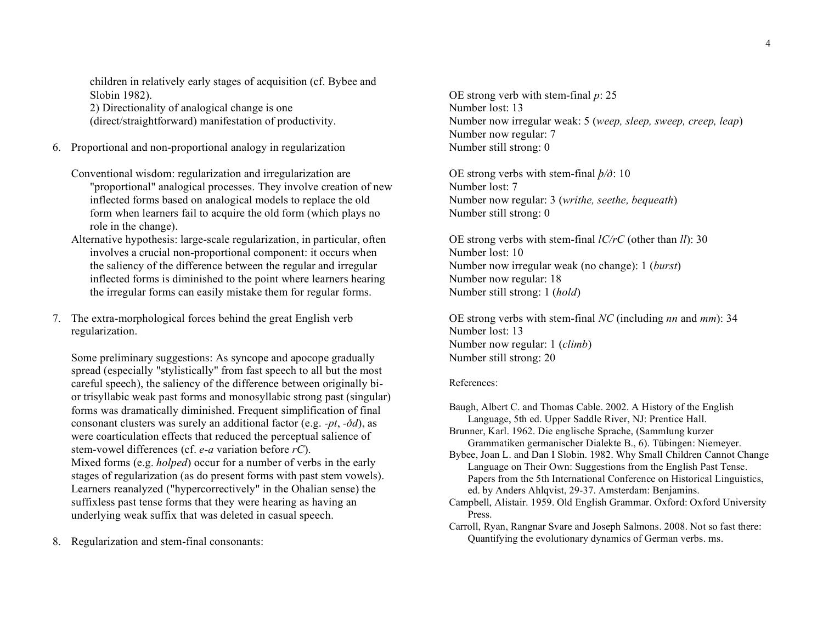children in relatively early stages of acquisition (cf. Bybee and Slobin 1982). 2) Directionality of analogical change is one

(direct/straightforward) manifestation of productivity.

- 6. Proportional and non-proportional analogy in regularization
	- Conventional wisdom: regularization and irregularization are "proportional" analogical processes. They involve creation of new inflected forms based on analogical models to replace the old form when learners fail to acquire the old form (which plays no role in the change).
	- Alternative hypothesis: large-scale regularization, in particular, often involves a crucial non-proportional component: it occurs when the saliency of the difference between the regular and irregular inflected forms is diminished to the point where learners hearing the irregular forms can easily mistake them for regular forms.
- 7. The extra-morphological forces behind the great English verb regularization.

Some preliminary suggestions: As syncope and apocope gradually spread (especially "stylistically" from fast speech to all but the most careful speech), the saliency of the difference between originally bior trisyllabic weak past forms and monosyllabic strong past (singular) forms was dramatically diminished. Frequent simplification of final consonant clusters was surely an additional factor (e.g. *-pt*, *-ðd*), as were coarticulation effects that reduced the perceptual salience of stem-vowel differences (cf. *e-a* variation before *rC*). Mixed forms (e.g. *holped*) occur for a number of verbs in the early stages of regularization (as do present forms with past stem vowels). Learners reanalyzed ("hypercorrectively" in the Ohalian sense) the suffixless past tense forms that they were hearing as having an underlying weak suffix that was deleted in casual speech.

8. Regularization and stem-final consonants:

OE strong verb with stem-final *p*: 25 Number lost: 13 Number now irregular weak: 5 (*weep, sleep, sweep, creep, leap*) Number now regular: 7 Number still strong: 0

OE strong verbs with stem-final *þ/ð*: 10 Number lost: 7 Number now regular: 3 (*writhe, seethe, bequeath*) Number still strong: 0

OE strong verbs with stem-final *lC/rC* (other than *ll*): 30 Number lost: 10 Number now irregular weak (no change): 1 (*burst*) Number now regular: 18 Number still strong: 1 (*hold*)

OE strong verbs with stem-final *NC* (including *nn* and *mm*): 34 Number lost: 13 Number now regular: 1 (*climb*) Number still strong: 20

## References:

- Baugh, Albert C. and Thomas Cable. 2002. A History of the English Language, 5th ed. Upper Saddle River, NJ: Prentice Hall.
- Brunner, Karl. 1962. Die englische Sprache, (Sammlung kurzer Grammatiken germanischer Dialekte B., 6). Tübingen: Niemeyer.

Bybee, Joan L. and Dan I Slobin. 1982. Why Small Children Cannot Change Language on Their Own: Suggestions from the English Past Tense. Papers from the 5th International Conference on Historical Linguistics, ed. by Anders Ahlqvist, 29-37. Amsterdam: Benjamins.

- Campbell, Alistair. 1959. Old English Grammar. Oxford: Oxford University Press.
- Carroll, Ryan, Rangnar Svare and Joseph Salmons. 2008. Not so fast there: Quantifying the evolutionary dynamics of German verbs. ms.